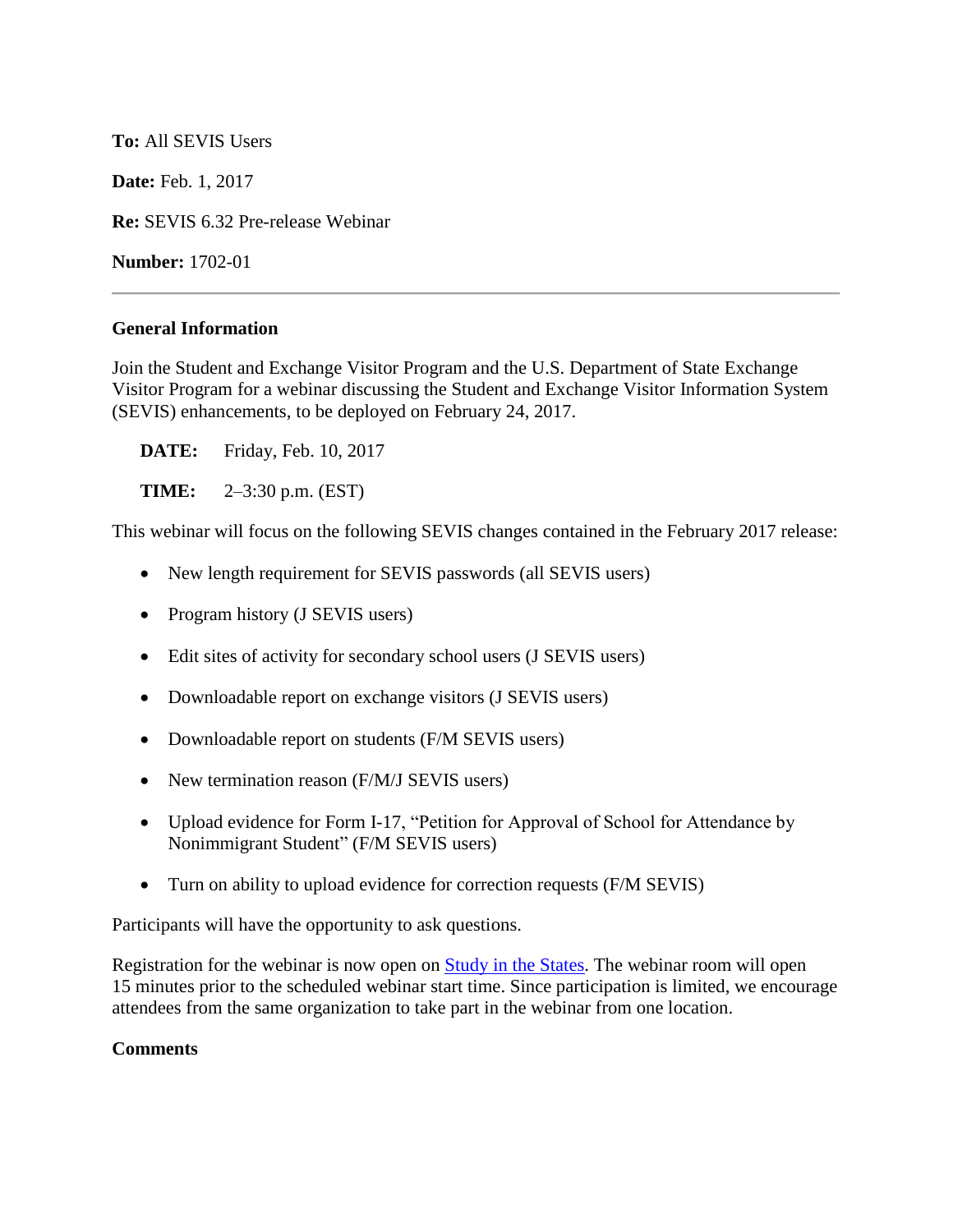## **To:** All SEVIS Users

**Date:** Feb. 1, 2017

**Re:** SEVIS 6.32 Pre-release Webinar

**Number:** 1702-01

## **General Information**

Join the Student and Exchange Visitor Program and the U.S. Department of State Exchange Visitor Program for a webinar discussing the Student and Exchange Visitor Information System (SEVIS) enhancements, to be deployed on February 24, 2017.

**DATE:** Friday, Feb. 10, 2017

**TIME:** 2–3:30 p.m. (EST)

This webinar will focus on the following SEVIS changes contained in the February 2017 release:

- New length requirement for SEVIS passwords (all SEVIS users)
- Program history (J SEVIS users)
- Edit sites of activity for secondary school users (J SEVIS users)
- Downloadable report on exchange visitors (J SEVIS users)
- Downloadable report on students (F/M SEVIS users)
- New termination reason (F/M/J SEVIS users)
- Upload evidence for Form I-17, "Petition for Approval of School for Attendance by Nonimmigrant Student" (F/M SEVIS users)
- Turn on ability to upload evidence for correction requests (F/M SEVIS)

Participants will have the opportunity to ask questions.

Registration for the webinar is now open on [Study in the States.](http://studyinthestates.dhs.gov/sevis-help-hub/learn-more/webinars) The webinar room will open 15 minutes prior to the scheduled webinar start time. Since participation is limited, we encourage attendees from the same organization to take part in the webinar from one location.

## **Comments**